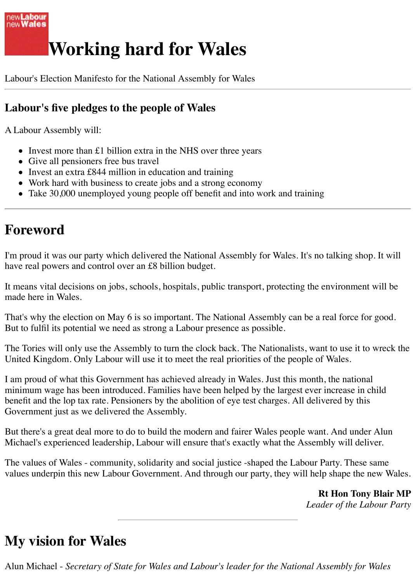

## **Working hard for Wales**

Labour's Election Manifesto for the National Assembly for Wales

### **Labour's five pledges to the people of Wales**

A Labour Assembly will:

- Invest more than £1 billion extra in the NHS over three years
- Give all pensioners free bus travel
- Invest an extra £844 million in education and training
- Work hard with business to create jobs and a strong economy
- Take 30,000 unemployed young people off benefit and into work and training

## **Foreword**

I'm proud it was our party which delivered the National Assembly for Wales. It's no talking shop. It will have real powers and control over an £8 billion budget.

It means vital decisions on jobs, schools, hospitals, public transport, protecting the environment will be made here in Wales.

That's why the election on May 6 is so important. The National Assembly can be a real force for good. But to fulfil its potential we need as strong a Labour presence as possible.

The Tories will only use the Assembly to turn the clock back. The Nationalists, want to use it to wreck the United Kingdom. Only Labour will use it to meet the real priorities of the people of Wales.

I am proud of what this Government has achieved already in Wales. Just this month, the national minimum wage has been introduced. Families have been helped by the largest ever increase in child benefit and the lop tax rate. Pensioners by the abolition of eye test charges. All delivered by this Government just as we delivered the Assembly.

But there's a great deal more to do to build the modern and fairer Wales people want. And under Alun Michael's experienced leadership, Labour will ensure that's exactly what the Assembly will deliver.

The values of Wales - community, solidarity and social justice -shaped the Labour Party. These same values underpin this new Labour Government. And through our party, they will help shape the new Wales.

> **Rt Hon Tony Blair MP** *Leader of the Labour Party*

## **My vision for Wales**

Alun Michael - *Secretary of State for Wales and Labour's leader for the National Assembly for Wales*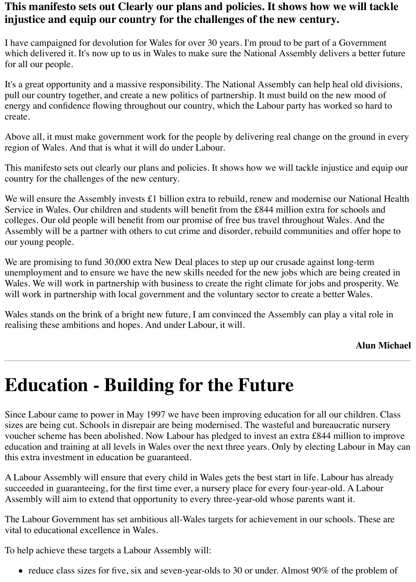### **This manifesto sets out Clearly our plans and policies. It shows how we will tackle injustice and equip our country for the challenges of the new century.**

I have campaigned for devolution for Wales for over 30 years. I'm proud to be part of a Government which delivered it. It's now up to us in Wales to make sure the National Assembly delivers a better future for all our people.

It's a great opportunity and a massive responsibility. The National Assembly can help heal old divisions, pull our country together, and create a new politics of partnership. It must build on the new mood of energy and confidence flowing throughout our country, which the Labour party has worked so hard to create.

Above all, it must make government work for the people by delivering real change on the ground in every region of Wales. And that is what it will do under Labour.

This manifesto sets out clearly our plans and policies. It shows how we will tackle injustice and equip our country for the challenges of the new century.

We will ensure the Assembly invests £1 billion extra to rebuild, renew and modernise our National Health Service in Wales. Our children and students will benefit from the £844 million extra for schools and colleges. Our old people will benefit from our promise of free bus travel throughout Wales. And the Assembly will be a partner with others to cut crime and disorder, rebuild communities and offer hope to our young people.

We are promising to fund 30,000 extra New Deal places to step up our crusade against long-term unemployment and to ensure we have the new skills needed for the new jobs which are being created in Wales. We will work in partnership with business to create the right climate for jobs and prosperity. We will work in partnership with local government and the voluntary sector to create a better Wales.

Wales stands on the brink of a bright new future, I am convinced the Assembly can play a vital role in realising these ambitions and hopes. And under Labour, it will.

#### **Alun Michael**

## **Education - Building for the Future**

Since Labour came to power in May 1997 we have been improving education for all our children. Class sizes are being cut. Schools in disrepair are being modernised. The wasteful and bureaucratic nursery voucher scheme has been abolished. Now Labour has pledged to invest an extra £844 million to improve education and training at all levels in Wales over the next three years. Only by electing Labour in May can this extra investment in education be guaranteed.

A Labour Assembly will ensure that every child in Wales gets the best start in life. Labour has already succeeded in guaranteeing, for the first time ever, a nursery place for every four-year-old. A Labour Assembly will aim to extend that opportunity to every three-year-old whose parents want it.

The Labour Government has set ambitious all-Wales targets for achievement in our schools. These are vital to educational excellence in Wales.

To help achieve these targets a Labour Assembly will:

• reduce class sizes for five, six and seven-year-olds to 30 or under. Almost 90% of the problem of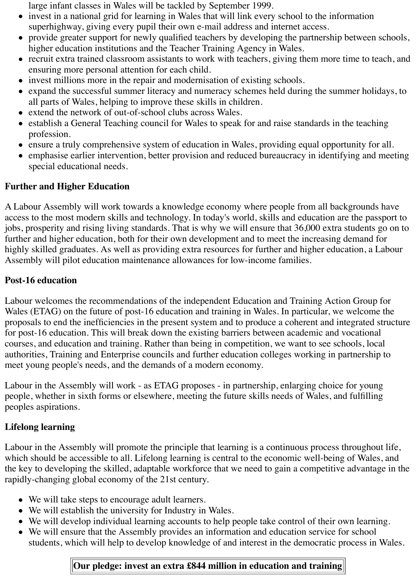large infant classes in Wales will be tackled by September 1999.

- invest in a national grid for learning in Wales that will link every school to the information superhighway, giving every pupil their own e-mail address and internet access.
- provide greater support for newly qualified teachers by developing the partnership between schools, higher education institutions and the Teacher Training Agency in Wales.
- recruit extra trained classroom assistants to work with teachers, giving them more time to teach, and ensuring more personal attention for each child.
- invest millions more in the repair and modernisation of existing schools.
- expand the successful summer literacy and numeracy schemes held during the summer holidays, to all parts of Wales, helping to improve these skills in children.
- extend the network of out-of-school clubs across Wales.
- establish a General Teaching council for Wales to speak for and raise standards in the teaching profession.
- ensure a truly comprehensive system of education in Wales, providing equal opportunity for all.
- emphasise earlier intervention, better provision and reduced bureaucracy in identifying and meeting special educational needs.

#### **Further and Higher Education**

A Labour Assembly will work towards a knowledge economy where people from all backgrounds have access to the most modern skills and technology. In today's world, skills and education are the passport to jobs, prosperity and rising living standards. That is why we will ensure that 36,000 extra students go on to further and higher education, both for their own development and to meet the increasing demand for highly skilled graduates. As well as providing extra resources for further and higher education, a Labour Assembly will pilot education maintenance allowances for low-income families.

#### **Post-16 education**

Labour welcomes the recommendations of the independent Education and Training Action Group for Wales (ETAG) on the future of post-16 education and training in Wales. In particular, we welcome the proposals to end the inefficiencies in the present system and to produce a coherent and integrated structure for post-16 education. This will break down the existing barriers between academic and vocational courses, and education and training. Rather than being in competition, we want to see schools, local authorities, Training and Enterprise councils and further education colleges working in partnership to meet young people's needs, and the demands of a modern economy.

Labour in the Assembly will work - as ETAG proposes - in partnership, enlarging choice for young people, whether in sixth forms or elsewhere, meeting the future skills needs of Wales, and fulfilling peoples aspirations.

#### **Lifelong learning**

Labour in the Assembly will promote the principle that learning is a continuous process throughout life, which should be accessible to all. Lifelong learning is central to the economic well-being of Wales, and the key to developing the skilled, adaptable workforce that we need to gain a competitive advantage in the rapidly-changing global economy of the 21st century.

- We will take steps to encourage adult learners.
- We will establish the university for Industry in Wales.
- We will develop individual learning accounts to help people take control of their own learning.
- We will ensure that the Assembly provides an information and education service for school students, which will help to develop knowledge of and interest in the democratic process in Wales.

#### **Our pledge: invest an extra £844 million in education and training**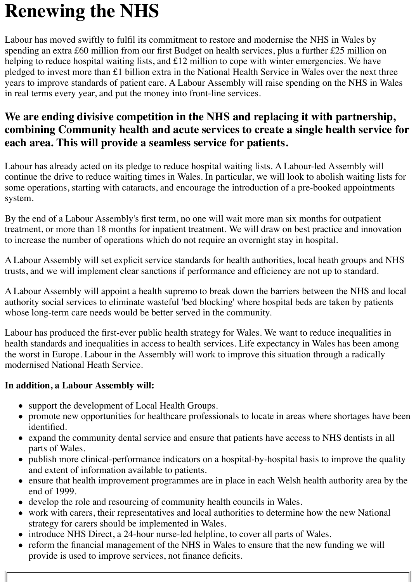# **Renewing the NHS**

Labour has moved swiftly to fulfil its commitment to restore and modernise the NHS in Wales by spending an extra £60 million from our first Budget on health services, plus a further £25 million on helping to reduce hospital waiting lists, and £12 million to cope with winter emergencies. We have pledged to invest more than £1 billion extra in the National Health Service in Wales over the next three years to improve standards of patient care. A Labour Assembly will raise spending on the NHS in Wales in real terms every year, and put the money into front-line services.

## **We are ending divisive competition in the NHS and replacing it with partnership, combining Community health and acute services to create a single health service for each area. This will provide a seamless service for patients.**

Labour has already acted on its pledge to reduce hospital waiting lists. A Labour-led Assembly will continue the drive to reduce waiting times in Wales. In particular, we will look to abolish waiting lists for some operations, starting with cataracts, and encourage the introduction of a pre-booked appointments system.

By the end of a Labour Assembly's first term, no one will wait more man six months for outpatient treatment, or more than 18 months for inpatient treatment. We will draw on best practice and innovation to increase the number of operations which do not require an overnight stay in hospital.

A Labour Assembly will set explicit service standards for health authorities, local heath groups and NHS trusts, and we will implement clear sanctions if performance and efficiency are not up to standard.

A Labour Assembly will appoint a health supremo to break down the barriers between the NHS and local authority social services to eliminate wasteful 'bed blocking' where hospital beds are taken by patients whose long-term care needs would be better served in the community.

Labour has produced the first-ever public health strategy for Wales. We want to reduce inequalities in health standards and inequalities in access to health services. Life expectancy in Wales has been among the worst in Europe. Labour in the Assembly will work to improve this situation through a radically modernised National Heath Service.

#### **In addition, a Labour Assembly will:**

- support the development of Local Health Groups.
- promote new opportunities for healthcare professionals to locate in areas where shortages have been identified.
- expand the community dental service and ensure that patients have access to NHS dentists in all parts of Wales.
- publish more clinical-performance indicators on a hospital-by-hospital basis to improve the quality and extent of information available to patients.
- ensure that health improvement programmes are in place in each Welsh health authority area by the end of 1999.
- develop the role and resourcing of community health councils in Wales.
- work with carers, their representatives and local authorities to determine how the new National strategy for carers should be implemented in Wales.
- introduce NHS Direct, a 24-hour nurse-led helpline, to cover all parts of Wales.
- reform the financial management of the NHS in Wales to ensure that the new funding we will provide is used to improve services, not finance deficits.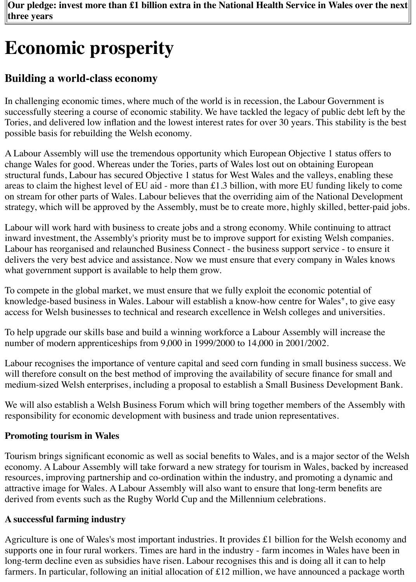# **Economic prosperity**

## **Building a world-class economy**

In challenging economic times, where much of the world is in recession, the Labour Government is successfully steering a course of economic stability. We have tackled the legacy of public debt left by the Tories, and delivered low inflation and the lowest interest rates for over 30 years. This stability is the best possible basis for rebuilding the Welsh economy.

A Labour Assembly will use the tremendous opportunity which European Objective 1 status offers to change Wales for good. Whereas under the Tories, parts of Wales lost out on obtaining European structural funds, Labour has secured Objective 1 status for West Wales and the valleys, enabling these areas to claim the highest level of EU aid - more than £1.3 billion, with more EU funding likely to come on stream for other parts of Wales. Labour believes that the overriding aim of the National Development strategy, which will be approved by the Assembly, must be to create more, highly skilled, better-paid jobs.

Labour will work hard with business to create jobs and a strong economy. While continuing to attract inward investment, the Assembly's priority must be to improve support for existing Welsh companies. Labour has reorganised and relaunched Business Connect - the business support service - to ensure it delivers the very best advice and assistance. Now we must ensure that every company in Wales knows what government support is available to help them grow.

To compete in the global market, we must ensure that we fully exploit the economic potential of knowledge-based business in Wales. Labour will establish a know-how centre for Wales", to give easy access for Welsh businesses to technical and research excellence in Welsh colleges and universities.

To help upgrade our skills base and build a winning workforce a Labour Assembly will increase the number of modern apprenticeships from 9,000 in 1999/2000 to 14,000 in 2001/2002.

Labour recognises the importance of venture capital and seed corn funding in small business success. We will therefore consult on the best method of improving the availability of secure finance for small and medium-sized Welsh enterprises, including a proposal to establish a Small Business Development Bank.

We will also establish a Welsh Business Forum which will bring together members of the Assembly with responsibility for economic development with business and trade union representatives.

#### **Promoting tourism in Wales**

Tourism brings significant economic as well as social benefits to Wales, and is a major sector of the Welsh economy. A Labour Assembly will take forward a new strategy for tourism in Wales, backed by increased resources, improving partnership and co-ordination within the industry, and promoting a dynamic and attractive image for Wales. A Labour Assembly will also want to ensure that long-term benefits are derived from events such as the Rugby World Cup and the Millennium celebrations.

#### **A successful farming industry**

Agriculture is one of Wales's most important industries. It provides £1 billion for the Welsh economy and supports one in four rural workers. Times are hard in the industry - farm incomes in Wales have been in long-term decline even as subsidies have risen. Labour recognises this and is doing all it can to help farmers. In particular, following an initial allocation of £12 million, we have announced a package worth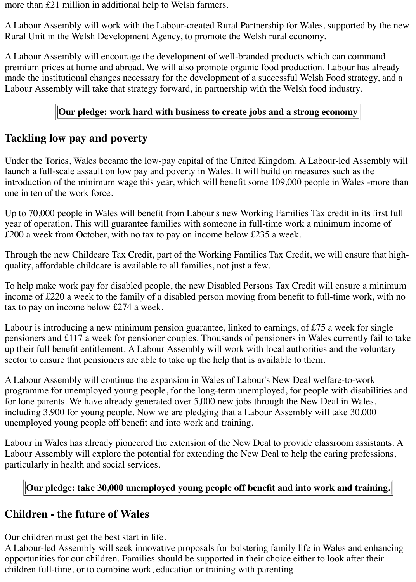more than £21 million in additional help to Welsh farmers.

A Labour Assembly will work with the Labour-created Rural Partnership for Wales, supported by the new Rural Unit in the Welsh Development Agency, to promote the Welsh rural economy.

A Labour Assembly will encourage the development of well-branded products which can command premium prices at home and abroad. We will also promote organic food production. Labour has already made the institutional changes necessary for the development of a successful Welsh Food strategy, and a Labour Assembly will take that strategy forward, in partnership with the Welsh food industry.

#### **Our pledge: work hard with business to create jobs and a strong economy**

#### **Tackling low pay and poverty**

Under the Tories, Wales became the low-pay capital of the United Kingdom. A Labour-led Assembly will launch a full-scale assault on low pay and poverty in Wales. It will build on measures such as the introduction of the minimum wage this year, which will benefit some 109,000 people in Wales -more than one in ten of the work force.

Up to 70,000 people in Wales will benefit from Labour's new Working Families Tax credit in its first full year of operation. This will guarantee families with someone in full-time work a minimum income of £200 a week from October, with no tax to pay on income below £235 a week.

Through the new Childcare Tax Credit, part of the Working Families Tax Credit, we will ensure that highquality, affordable childcare is available to all families, not just a few.

To help make work pay for disabled people, the new Disabled Persons Tax Credit will ensure a minimum income of £220 a week to the family of a disabled person moving from benefit to full-time work, with no tax to pay on income below £274 a week.

Labour is introducing a new minimum pension guarantee, linked to earnings, of £75 a week for single pensioners and £117 a week for pensioner couples. Thousands of pensioners in Wales currently fail to take up their full benefit entitlement. A Labour Assembly will work with local authorities and the voluntary sector to ensure that pensioners are able to take up the help that is available to them.

A Labour Assembly will continue the expansion in Wales of Labour's New Deal welfare-to-work programme for unemployed young people, for the long-term unemployed, for people with disabilities and for lone parents. We have already generated over 5,000 new jobs through the New Deal in Wales, including 3,900 for young people. Now we are pledging that a Labour Assembly will take 30,000 unemployed young people off benefit and into work and training.

Labour in Wales has already pioneered the extension of the New Deal to provide classroom assistants. A Labour Assembly will explore the potential for extending the New Deal to help the caring professions, particularly in health and social services.

#### **Our pledge: take 30,000 unemployed young people off benefit and into work and training.**

#### **Children - the future of Wales**

Our children must get the best start in life.

A Labour-led Assembly will seek innovative proposals for bolstering family life in Wales and enhancing opportunities for our children. Families should be supported in their choice either to look after their children full-time, or to combine work, education or training with parenting.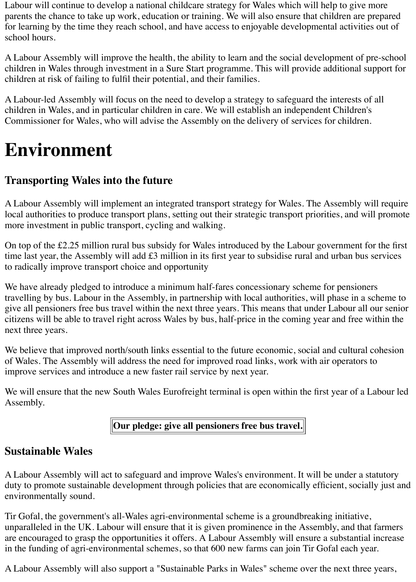Labour will continue to develop a national childcare strategy for Wales which will help to give more parents the chance to take up work, education or training. We will also ensure that children are prepared for learning by the time they reach school, and have access to enjoyable developmental activities out of school hours.

A Labour Assembly will improve the health, the ability to learn and the social development of pre-school children in Wales through investment in a Sure Start programme. This will provide additional support for children at risk of failing to fulfil their potential, and their families.

A Labour-led Assembly will focus on the need to develop a strategy to safeguard the interests of all children in Wales, and in particular children in care. We will establish an independent Children's Commissioner for Wales, who will advise the Assembly on the delivery of services for children.

## **Environment**

## **Transporting Wales into the future**

A Labour Assembly will implement an integrated transport strategy for Wales. The Assembly will require local authorities to produce transport plans, setting out their strategic transport priorities, and will promote more investment in public transport, cycling and walking.

On top of the £2.25 million rural bus subsidy for Wales introduced by the Labour government for the first time last year, the Assembly will add £3 million in its first year to subsidise rural and urban bus services to radically improve transport choice and opportunity

We have already pledged to introduce a minimum half-fares concessionary scheme for pensioners travelling by bus. Labour in the Assembly, in partnership with local authorities, will phase in a scheme to give all pensioners free bus travel within the next three years. This means that under Labour all our senior citizens will be able to travel right across Wales by bus, half-price in the coming year and free within the next three years.

We believe that improved north/south links essential to the future economic, social and cultural cohesion of Wales. The Assembly will address the need for improved road links, work with air operators to improve services and introduce a new faster rail service by next year.

We will ensure that the new South Wales Eurofreight terminal is open within the first year of a Labour led Assembly.

#### **Our pledge: give all pensioners free bus travel.**

### **Sustainable Wales**

A Labour Assembly will act to safeguard and improve Wales's environment. It will be under a statutory duty to promote sustainable development through policies that are economically efficient, socially just and environmentally sound.

Tir Gofal, the government's all-Wales agri-environmental scheme is a groundbreaking initiative, unparalleled in the UK. Labour will ensure that it is given prominence in the Assembly, and that farmers are encouraged to grasp the opportunities it offers. A Labour Assembly will ensure a substantial increase in the funding of agri-environmental schemes, so that 600 new farms can join Tir Gofal each year.

A Labour Assembly will also support a "Sustainable Parks in Wales" scheme over the next three years,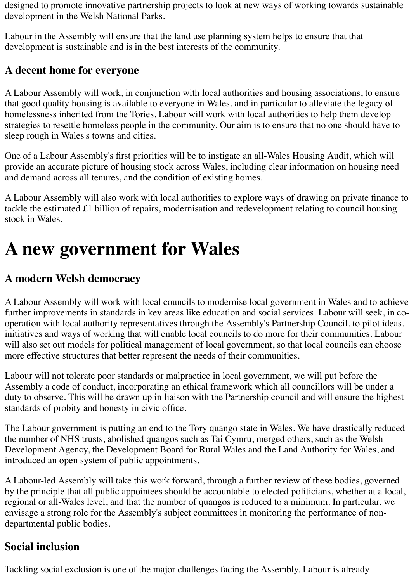designed to promote innovative partnership projects to look at new ways of working towards sustainable development in the Welsh National Parks.

Labour in the Assembly will ensure that the land use planning system helps to ensure that that development is sustainable and is in the best interests of the community.

## **A decent home for everyone**

A Labour Assembly will work, in conjunction with local authorities and housing associations, to ensure that good quality housing is available to everyone in Wales, and in particular to alleviate the legacy of homelessness inherited from the Tories. Labour will work with local authorities to help them develop strategies to resettle homeless people in the community. Our aim is to ensure that no one should have to sleep rough in Wales's towns and cities.

One of a Labour Assembly's first priorities will be to instigate an all-Wales Housing Audit, which will provide an accurate picture of housing stock across Wales, including clear information on housing need and demand across all tenures, and the condition of existing homes.

A Labour Assembly will also work with local authorities to explore ways of drawing on private finance to tackle the estimated £1 billion of repairs, modernisation and redevelopment relating to council housing stock in Wales.

## **A new government for Wales**

## **A modern Welsh democracy**

A Labour Assembly will work with local councils to modernise local government in Wales and to achieve further improvements in standards in key areas like education and social services. Labour will seek, in cooperation with local authority representatives through the Assembly's Partnership Council, to pilot ideas, initiatives and ways of working that will enable local councils to do more for their communities. Labour will also set out models for political management of local government, so that local councils can choose more effective structures that better represent the needs of their communities.

Labour will not tolerate poor standards or malpractice in local government, we will put before the Assembly a code of conduct, incorporating an ethical framework which all councillors will be under a duty to observe. This will be drawn up in liaison with the Partnership council and will ensure the highest standards of probity and honesty in civic office.

The Labour government is putting an end to the Tory quango state in Wales. We have drastically reduced the number of NHS trusts, abolished quangos such as Tai Cymru, merged others, such as the Welsh Development Agency, the Development Board for Rural Wales and the Land Authority for Wales, and introduced an open system of public appointments.

A Labour-led Assembly will take this work forward, through a further review of these bodies, governed by the principle that all public appointees should be accountable to elected politicians, whether at a local, regional or all-Wales level, and that the number of quangos is reduced to a minimum. In particular, we envisage a strong role for the Assembly's subject committees in monitoring the performance of nondepartmental public bodies.

## **Social inclusion**

Tackling social exclusion is one of the major challenges facing the Assembly. Labour is already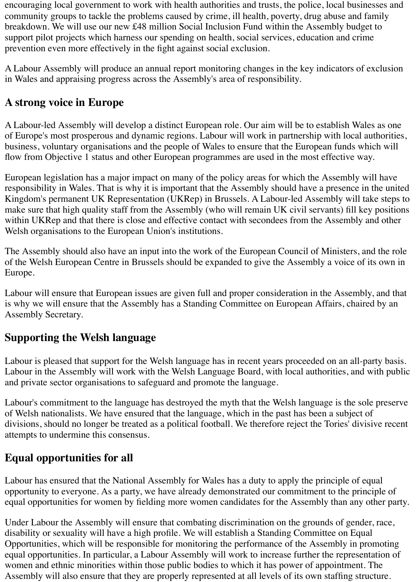encouraging local government to work with health authorities and trusts, the police, local businesses and community groups to tackle the problems caused by crime, ill health, poverty, drug abuse and family breakdown. We will use our new £48 million Social Inclusion Fund within the Assembly budget to support pilot projects which harness our spending on health, social services, education and crime prevention even more effectively in the fight against social exclusion.

A Labour Assembly will produce an annual report monitoring changes in the key indicators of exclusion in Wales and appraising progress across the Assembly's area of responsibility.

## **A strong voice in Europe**

A Labour-led Assembly will develop a distinct European role. Our aim will be to establish Wales as one of Europe's most prosperous and dynamic regions. Labour will work in partnership with local authorities, business, voluntary organisations and the people of Wales to ensure that the European funds which will flow from Objective 1 status and other European programmes are used in the most effective way.

European legislation has a major impact on many of the policy areas for which the Assembly will have responsibility in Wales. That is why it is important that the Assembly should have a presence in the united Kingdom's permanent UK Representation (UKRep) in Brussels. A Labour-led Assembly will take steps to make sure that high quality staff from the Assembly (who will remain UK civil servants) fill key positions within UKRep and that there is close and effective contact with secondees from the Assembly and other Welsh organisations to the European Union's institutions.

The Assembly should also have an input into the work of the European Council of Ministers, and the role of the Welsh European Centre in Brussels should be expanded to give the Assembly a voice of its own in Europe.

Labour will ensure that European issues are given full and proper consideration in the Assembly, and that is why we will ensure that the Assembly has a Standing Committee on European Affairs, chaired by an Assembly Secretary.

## **Supporting the Welsh language**

Labour is pleased that support for the Welsh language has in recent years proceeded on an all-party basis. Labour in the Assembly will work with the Welsh Language Board, with local authorities, and with public and private sector organisations to safeguard and promote the language.

Labour's commitment to the language has destroyed the myth that the Welsh language is the sole preserve of Welsh nationalists. We have ensured that the language, which in the past has been a subject of divisions, should no longer be treated as a political football. We therefore reject the Tories' divisive recent attempts to undermine this consensus.

## **Equal opportunities for all**

Labour has ensured that the National Assembly for Wales has a duty to apply the principle of equal opportunity to everyone. As a party, we have already demonstrated our commitment to the principle of equal opportunities for women by fielding more women candidates for the Assembly than any other party.

Under Labour the Assembly will ensure that combating discrimination on the grounds of gender, race, disability or sexuality will have a high profile. We will establish a Standing Committee on Equal Opportunities, which will be responsible for monitoring the performance of the Assembly in promoting equal opportunities. In particular, a Labour Assembly will work to increase further the representation of women and ethnic minorities within those public bodies to which it has power of appointment. The Assembly will also ensure that they are properly represented at all levels of its own staffing structure.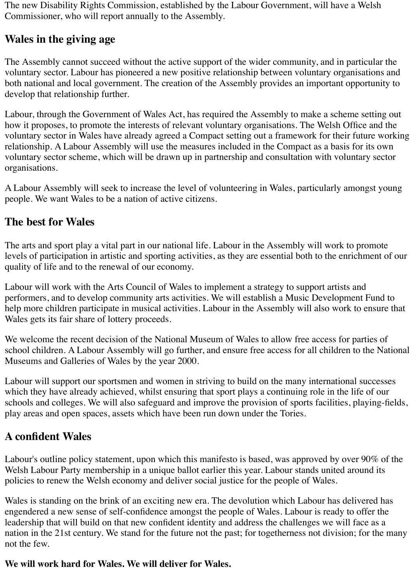The new Disability Rights Commission, established by the Labour Government, will have a Welsh Commissioner, who will report annually to the Assembly.

### **Wales in the giving age**

The Assembly cannot succeed without the active support of the wider community, and in particular the voluntary sector. Labour has pioneered a new positive relationship between voluntary organisations and both national and local government. The creation of the Assembly provides an important opportunity to develop that relationship further.

Labour, through the Government of Wales Act, has required the Assembly to make a scheme setting out how it proposes, to promote the interests of relevant voluntary organisations. The Welsh Office and the voluntary sector in Wales have already agreed a Compact setting out a framework for their future working relationship. A Labour Assembly will use the measures included in the Compact as a basis for its own voluntary sector scheme, which will be drawn up in partnership and consultation with voluntary sector organisations.

A Labour Assembly will seek to increase the level of volunteering in Wales, particularly amongst young people. We want Wales to be a nation of active citizens.

## **The best for Wales**

The arts and sport play a vital part in our national life. Labour in the Assembly will work to promote levels of participation in artistic and sporting activities, as they are essential both to the enrichment of our quality of life and to the renewal of our economy.

Labour will work with the Arts Council of Wales to implement a strategy to support artists and performers, and to develop community arts activities. We will establish a Music Development Fund to help more children participate in musical activities. Labour in the Assembly will also work to ensure that Wales gets its fair share of lottery proceeds.

We welcome the recent decision of the National Museum of Wales to allow free access for parties of school children. A Labour Assembly will go further, and ensure free access for all children to the National Museums and Galleries of Wales by the year 2000.

Labour will support our sportsmen and women in striving to build on the many international successes which they have already achieved, whilst ensuring that sport plays a continuing role in the life of our schools and colleges. We will also safeguard and improve the provision of sports facilities, playing-fields, play areas and open spaces, assets which have been run down under the Tories.

## **A confident Wales**

Labour's outline policy statement, upon which this manifesto is based, was approved by over 90% of the Welsh Labour Party membership in a unique ballot earlier this year. Labour stands united around its policies to renew the Welsh economy and deliver social justice for the people of Wales.

Wales is standing on the brink of an exciting new era. The devolution which Labour has delivered has engendered a new sense of self-confidence amongst the people of Wales. Labour is ready to offer the leadership that will build on that new confident identity and address the challenges we will face as a nation in the 21st century. We stand for the future not the past; for togetherness not division; for the many not the few.

#### **We will work hard for Wales. We will deliver for Wales.**